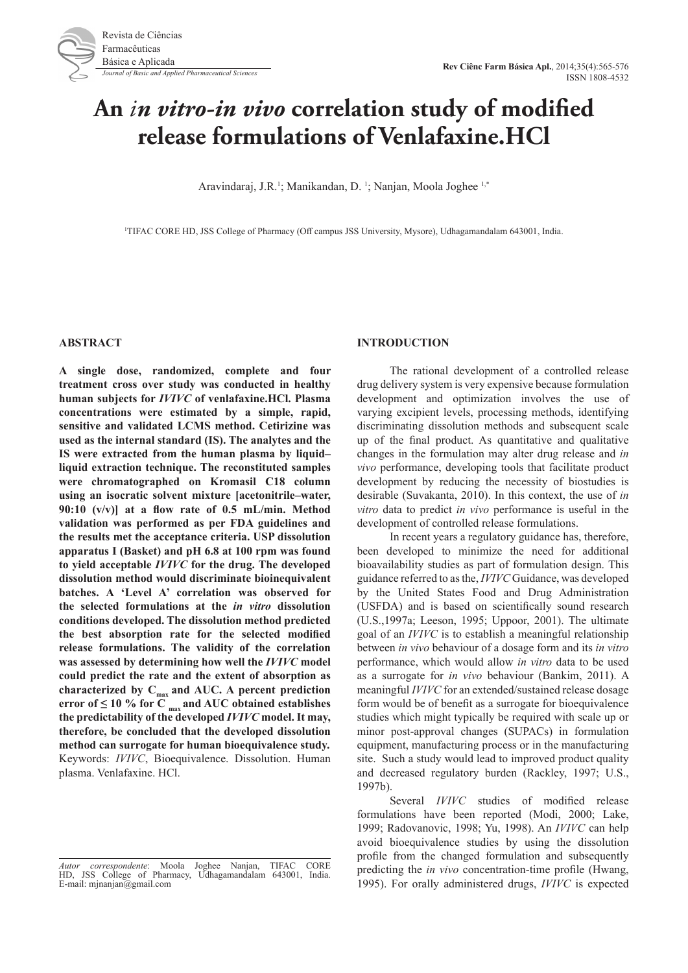# **An** *in vitro-in vivo* **correlation study of modified release formulations of Venlafaxine.HCl**

Aravindaraj, J.R.<sup>1</sup>; Manikandan, D.<sup>1</sup>; Nanjan, Moola Joghee<sup>1,\*</sup>

1 TIFAC CORE HD, JSS College of Pharmacy (Off campus JSS University, Mysore), Udhagamandalam 643001, India.

#### **ABSTRACT**

**A single dose, randomized, complete and four treatment cross over study was conducted in healthy human subjects for** *IVIVC* **of venlafaxine.HCl. Plasma concentrations were estimated by a simple, rapid, sensitive and validated LCMS method. Cetirizine was used as the internal standard (IS). The analytes and the IS were extracted from the human plasma by liquid– liquid extraction technique. The reconstituted samples were chromatographed on Kromasil C18 column using an isocratic solvent mixture [acetonitrile–water, 90:10 (v/v)] at a flow rate of 0.5 mL/min. Method validation was performed as per FDA guidelines and the results met the acceptance criteria. USP dissolution apparatus I (Basket) and pH 6.8 at 100 rpm was found to yield acceptable** *IVIVC* **for the drug. The developed dissolution method would discriminate bioinequivalent batches. A 'Level A' correlation was observed for the selected formulations at the** *in vitro* **dissolution conditions developed. The dissolution method predicted the best absorption rate for the selected modified release formulations. The validity of the correlation was assessed by determining how well the** *IVIVC* **model could predict the rate and the extent of absorption as**  characterized by C<sub>max</sub> and AUC. A percent prediction **error of**  $\leq 10$  % for C  $_{\text{max}}$  and AUC obtained establishes **the predictability of the developed** *IVIVC* **model. It may, therefore, be concluded that the developed dissolution method can surrogate for human bioequivalence study.**  Keywords: *IVIVC*, Bioequivalence. Dissolution. Human plasma. Venlafaxine. HCl.

#### **INTRODUCTION**

The rational development of a controlled release drug delivery system is very expensive because formulation development and optimization involves the use of varying excipient levels, processing methods, identifying discriminating dissolution methods and subsequent scale up of the final product. As quantitative and qualitative changes in the formulation may alter drug release and *in vivo* performance, developing tools that facilitate product development by reducing the necessity of biostudies is desirable (Suvakanta, 2010). In this context, the use of *in vitro* data to predict *in vivo* performance is useful in the development of controlled release formulations.

In recent years a regulatory guidance has, therefore, been developed to minimize the need for additional bioavailability studies as part of formulation design. This guidance referred to as the, *IVIVC* Guidance, was developed by the United States Food and Drug Administration (USFDA) and is based on scientifically sound research (U.S.,1997a; Leeson, 1995; Uppoor, 2001). The ultimate goal of an *IVIVC* is to establish a meaningful relationship between *in vivo* behaviour of a dosage form and its *in vitro* performance, which would allow *in vitro* data to be used as a surrogate for *in vivo* behaviour (Bankim, 2011). A meaningful *IVIVC* for an extended/sustained release dosage form would be of benefit as a surrogate for bioequivalence studies which might typically be required with scale up or minor post-approval changes (SUPACs) in formulation equipment, manufacturing process or in the manufacturing site. Such a study would lead to improved product quality and decreased regulatory burden (Rackley, 1997; U.S., 1997b).

Several *IVIVC* studies of modified release formulations have been reported (Modi, 2000; Lake, 1999; Radovanovic, 1998; Yu, 1998). An *IVIVC* can help avoid bioequivalence studies by using the dissolution profile from the changed formulation and subsequently predicting the *in vivo* concentration-time profile (Hwang, 1995). For orally administered drugs, *IVIVC* is expected

*Autor correspondente*: Moola Joghee Nanjan, TIFAC CORE HD, JSS College of Pharmacy, Udhagamandalam 643001, India. E-mail: mjnanjan@gmail.com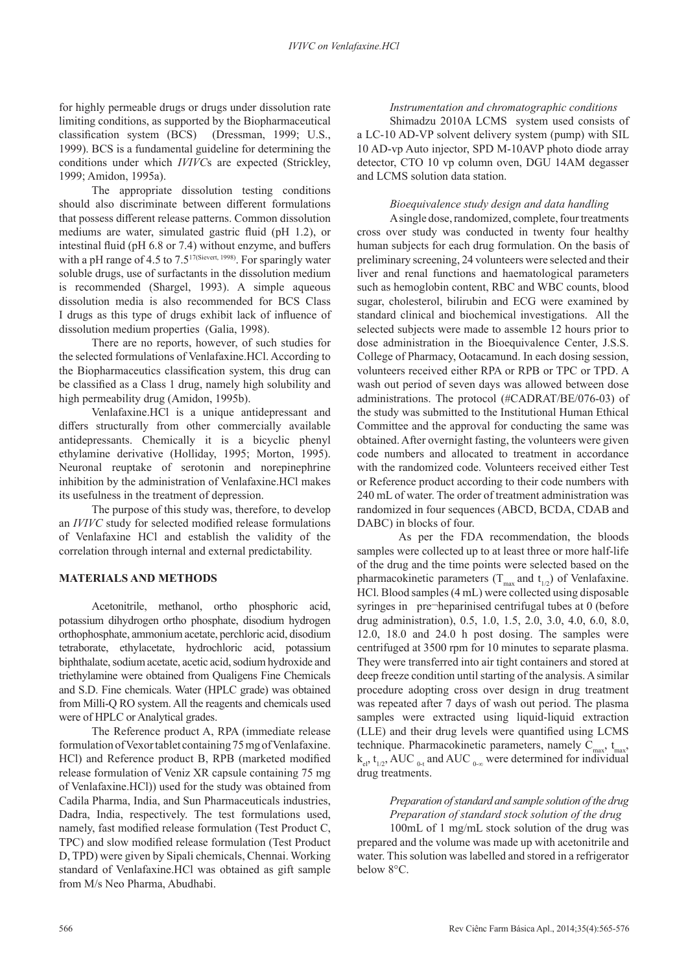for highly permeable drugs or drugs under dissolution rate limiting conditions, as supported by the Biopharmaceutical classification system (BCS) (Dressman, 1999; U.S., 1999). BCS is a fundamental guideline for determining the conditions under which *IVIVC*s are expected (Strickley, 1999; Amidon, 1995a).

The appropriate dissolution testing conditions should also discriminate between different formulations that possess different release patterns. Common dissolution mediums are water, simulated gastric fluid (pH 1.2), or intestinal fluid (pH 6.8 or 7.4) without enzyme, and buffers with a pH range of 4.5 to  $7.5^{17}$ (Sievert, 1998). For sparingly water soluble drugs, use of surfactants in the dissolution medium is recommended (Shargel, 1993). A simple aqueous dissolution media is also recommended for BCS Class I drugs as this type of drugs exhibit lack of influence of dissolution medium properties (Galia, 1998).

There are no reports, however, of such studies for the selected formulations of Venlafaxine.HCl. According to the Biopharmaceutics classification system, this drug can be classified as a Class 1 drug, namely high solubility and high permeability drug (Amidon, 1995b).

Venlafaxine.HCl is a unique antidepressant and differs structurally from other commercially available antidepressants. Chemically it is a bicyclic phenyl ethylamine derivative (Holliday, 1995; Morton, 1995). Neuronal reuptake of serotonin and norepinephrine inhibition by the administration of Venlafaxine.HCl makes its usefulness in the treatment of depression.

The purpose of this study was, therefore, to develop an *IVIVC* study for selected modified release formulations of Venlafaxine HCl and establish the validity of the correlation through internal and external predictability.

# **MATERIALS AND METHODS**

Acetonitrile, methanol, ortho phosphoric acid, potassium dihydrogen ortho phosphate, disodium hydrogen orthophosphate, ammonium acetate, perchloric acid, disodium tetraborate, ethylacetate, hydrochloric acid, potassium biphthalate, sodium acetate, acetic acid, sodium hydroxide and triethylamine were obtained from Qualigens Fine Chemicals and S.D. Fine chemicals. Water (HPLC grade) was obtained from Milli-Q RO system. All the reagents and chemicals used were of HPLC or Analytical grades.

The Reference product A, RPA (immediate release formulation of Vexor tablet containing 75 mg of Venlafaxine. HCl) and Reference product B, RPB (marketed modified release formulation of Veniz XR capsule containing 75 mg of Venlafaxine.HCl)) used for the study was obtained from Cadila Pharma, India, and Sun Pharmaceuticals industries, Dadra, India, respectively. The test formulations used, namely, fast modified release formulation (Test Product C, TPC) and slow modified release formulation (Test Product D, TPD) were given by Sipali chemicals, Chennai. Working standard of Venlafaxine.HCl was obtained as gift sample from M/s Neo Pharma, Abudhabi.

*Instrumentation and chromatographic conditions* Shimadzu 2010A LCMS system used consists of a LC-10 AD-VP solvent delivery system (pump) with SIL 10 AD-vp Auto injector, SPD M-10AVP photo diode array detector, CTO 10 vp column oven, DGU 14AM degasser and LCMS solution data station.

# *Bioequivalence study design and data handling*

A single dose, randomized, complete, four treatments cross over study was conducted in twenty four healthy human subjects for each drug formulation. On the basis of preliminary screening, 24 volunteers were selected and their liver and renal functions and haematological parameters such as hemoglobin content, RBC and WBC counts, blood sugar, cholesterol, bilirubin and ECG were examined by standard clinical and biochemical investigations. All the selected subjects were made to assemble 12 hours prior to dose administration in the Bioequivalence Center, J.S.S. College of Pharmacy, Ootacamund. In each dosing session, volunteers received either RPA or RPB or TPC or TPD. A wash out period of seven days was allowed between dose administrations. The protocol (#CADRAT/BE/076-03) of the study was submitted to the Institutional Human Ethical Committee and the approval for conducting the same was obtained. After overnight fasting, the volunteers were given code numbers and allocated to treatment in accordance with the randomized code. Volunteers received either Test or Reference product according to their code numbers with 240 mL of water. The order of treatment administration was randomized in four sequences (ABCD, BCDA, CDAB and DABC) in blocks of four.

As per the FDA recommendation, the bloods samples were collected up to at least three or more half-life of the drug and the time points were selected based on the pharmacokinetic parameters ( $T_{\text{max}}$  and  $t_{1/2}$ ) of Venlafaxine. HCl. Blood samples (4 mL) were collected using disposable syringes in pre¬heparinised centrifugal tubes at 0 (before drug administration), 0.5, 1.0, 1.5, 2.0, 3.0, 4.0, 6.0, 8.0, 12.0, 18.0 and 24.0 h post dosing. The samples were centrifuged at 3500 rpm for 10 minutes to separate plasma. They were transferred into air tight containers and stored at deep freeze condition until starting of the analysis. A similar procedure adopting cross over design in drug treatment was repeated after 7 days of wash out period. The plasma samples were extracted using liquid-liquid extraction (LLE) and their drug levels were quantified using LCMS technique. Pharmacokinetic parameters, namely  $C_{max}$ ,  $t_{max}$ ,  $k_{el}$ ,  $t_{1/2}$ , AUC <sub>0-t</sub> and AUC <sub>0-∞</sub> were determined for individual drug treatments.

# *Preparation of standard and sample solution of the drug Preparation of standard stock solution of the drug*

100mL of 1 mg/mL stock solution of the drug was prepared and the volume was made up with acetonitrile and water. This solution was labelled and stored in a refrigerator below 8°C.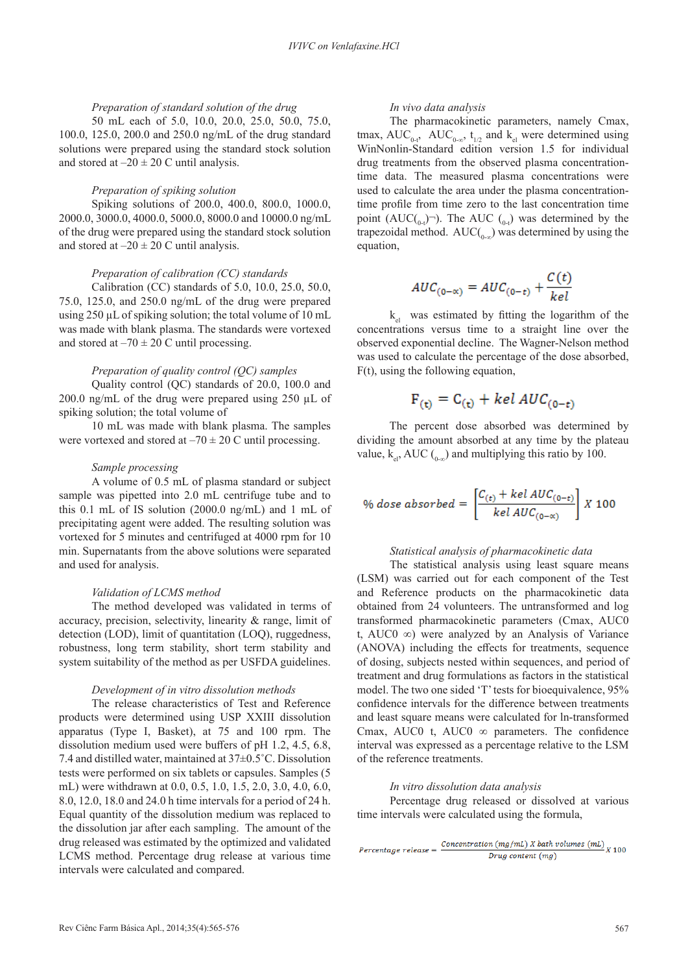## *Preparation of standard solution of the drug*

50 mL each of 5.0, 10.0, 20.0, 25.0, 50.0, 75.0, 100.0, 125.0, 200.0 and 250.0 ng/mL of the drug standard solutions were prepared using the standard stock solution and stored at  $-20 \pm 20$  C until analysis.

#### *Preparation of spiking solution*

Spiking solutions of 200.0, 400.0, 800.0, 1000.0, 2000.0, 3000.0, 4000.0, 5000.0, 8000.0 and 10000.0 ng/mL of the drug were prepared using the standard stock solution and stored at  $-20 \pm 20$  C until analysis.

# *Preparation of calibration (CC) standards*

Calibration (CC) standards of 5.0, 10.0, 25.0, 50.0, 75.0, 125.0, and 250.0 ng/mL of the drug were prepared using 250 µL of spiking solution; the total volume of 10 mL was made with blank plasma. The standards were vortexed and stored at  $-70 \pm 20$  C until processing.

#### *Preparation of quality control (QC) samples*

Quality control (QC) standards of 20.0, 100.0 and 200.0 ng/mL of the drug were prepared using 250 µL of spiking solution; the total volume of

10 mL was made with blank plasma. The samples were vortexed and stored at  $-70 \pm 20$  C until processing.

## *Sample processing*

A volume of 0.5 mL of plasma standard or subject sample was pipetted into 2.0 mL centrifuge tube and to this 0.1 mL of IS solution (2000.0 ng/mL) and 1 mL of precipitating agent were added. The resulting solution was vortexed for 5 minutes and centrifuged at 4000 rpm for 10 min. Supernatants from the above solutions were separated and used for analysis.

#### *Validation of LCMS method*

The method developed was validated in terms of accuracy, precision, selectivity, linearity & range, limit of detection (LOD), limit of quantitation (LOQ), ruggedness, robustness, long term stability, short term stability and system suitability of the method as per USFDA guidelines.

#### *Development of in vitro dissolution methods*

The release characteristics of Test and Reference products were determined using USP XXIII dissolution apparatus (Type I, Basket), at 75 and 100 rpm. The dissolution medium used were buffers of pH 1.2, 4.5, 6.8, 7.4 and distilled water, maintained at 37±0.5˚C. Dissolution tests were performed on six tablets or capsules. Samples (5 mL) were withdrawn at 0.0, 0.5, 1.0, 1.5, 2.0, 3.0, 4.0, 6.0, 8.0, 12.0, 18.0 and 24.0 h time intervals for a period of 24 h. Equal quantity of the dissolution medium was replaced to the dissolution jar after each sampling. The amount of the drug released was estimated by the optimized and validated LCMS method. Percentage drug release at various time intervals were calculated and compared.

# *In vivo data analysis*

The pharmacokinetic parameters, namely Cmax, tmax,  $AUC_{0-t}$ ,  $AUC_{0-\infty}$ ,  $t_{1/2}$  and  $k_{el}$  were determined using WinNonlin-Standard edition version 1.5 for individual drug treatments from the observed plasma concentrationtime data. The measured plasma concentrations were used to calculate the area under the plasma concentrationtime profile from time zero to the last concentration time point  $(AUC_{(0-t)})$ . The AUC  $_{(0-t)}$  was determined by the trapezoidal method.  $AUC(\theta_{0-\infty})$  was determined by using the equation,

$$
AUC_{(0-\alpha)} = AUC_{(0-t)} + \frac{C(t)}{kel}
$$

 $k_{el}$  was estimated by fitting the logarithm of the concentrations versus time to a straight line over the observed exponential decline. The Wagner-Nelson method was used to calculate the percentage of the dose absorbed, F(t), using the following equation,

$$
F_{(t)} = C_{(t)} + \text{kel AUC}_{(0-t)}
$$

The percent dose absorbed was determined by dividing the amount absorbed at any time by the plateau value,  $k_{el}$ , AUC ( $_{0-\infty}$ ) and multiplying this ratio by 100.

$$
\% dose\ absorbed = \left[\frac{C_{(t)} + kel\ AUC_{(0-t)}}{kel\ AUC_{(0-\alpha)}}\right]X\ 100
$$

# *Statistical analysis of pharmacokinetic data*

The statistical analysis using least square means (LSM) was carried out for each component of the Test and Reference products on the pharmacokinetic data obtained from 24 volunteers. The untransformed and log transformed pharmacokinetic parameters (Cmax, AUC0 t, AUC0 ∞) were analyzed by an Analysis of Variance (ANOVA) including the effects for treatments, sequence of dosing, subjects nested within sequences, and period of treatment and drug formulations as factors in the statistical model. The two one sided 'T' tests for bioequivalence, 95% confidence intervals for the difference between treatments and least square means were calculated for ln-transformed Cmax, AUC0 t, AUC0  $\infty$  parameters. The confidence interval was expressed as a percentage relative to the LSM of the reference treatments.

#### *In vitro dissolution data analysis*

Percentage drug released or dissolved at various time intervals were calculated using the formula,

 $Percentage\ release = \frac{Concentration\ (mg/mL)\ X\ bath\ volumes\ (mL)}{Drug\ content\ (mg)}\ X\ 100$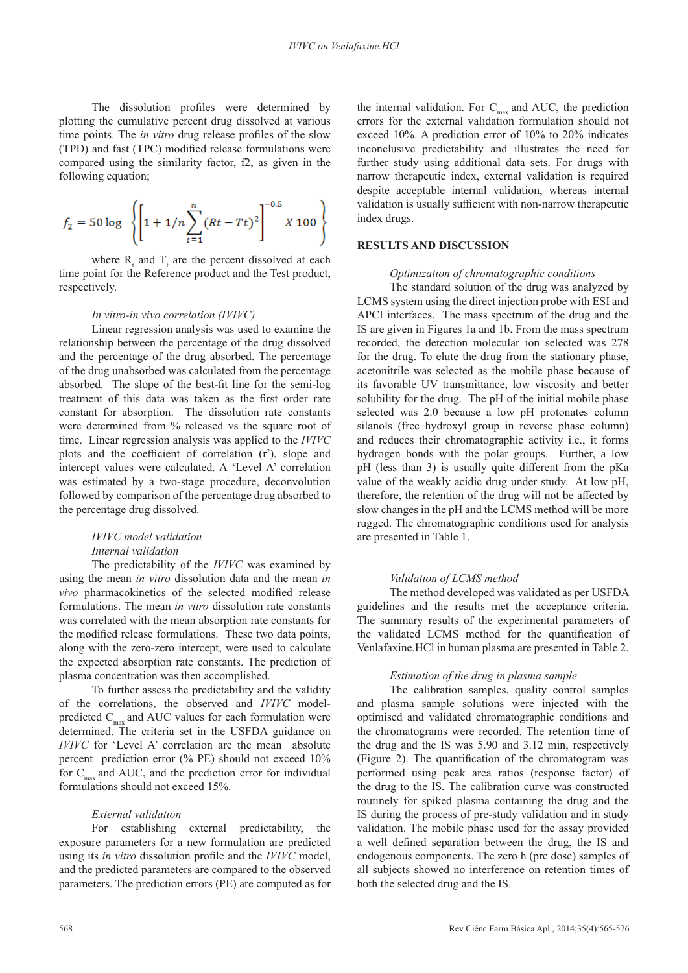The dissolution profiles were determined by plotting the cumulative percent drug dissolved at various time points. The *in vitro* drug release profiles of the slow (TPD) and fast (TPC) modified release formulations were compared using the similarity factor, f2, as given in the following equation;

$$
f_2 = 50 \log \left\{ \left[ 1 + 1/n \sum_{t=1}^{n} (Rt - Tt)^2 \right]^{-0.5} X 100 \right\}
$$

where  $R_t$  and  $T_t$  are the percent dissolved at each time point for the Reference product and the Test product, respectively.

#### *In vitro-in vivo correlation (IVIVC)*

Linear regression analysis was used to examine the relationship between the percentage of the drug dissolved and the percentage of the drug absorbed. The percentage of the drug unabsorbed was calculated from the percentage absorbed. The slope of the best-fit line for the semi-log treatment of this data was taken as the first order rate constant for absorption. The dissolution rate constants were determined from % released vs the square root of time. Linear regression analysis was applied to the *IVIVC* plots and the coefficient of correlation  $(r^2)$ , slope and intercept values were calculated. A 'Level A' correlation was estimated by a two-stage procedure, deconvolution followed by comparison of the percentage drug absorbed to the percentage drug dissolved.

# *IVIVC model validation Internal validation*

The predictability of the *IVIVC* was examined by using the mean *in vitro* dissolution data and the mean *in vivo* pharmacokinetics of the selected modified release formulations. The mean *in vitro* dissolution rate constants was correlated with the mean absorption rate constants for the modified release formulations. These two data points, along with the zero-zero intercept, were used to calculate the expected absorption rate constants. The prediction of plasma concentration was then accomplished.

To further assess the predictability and the validity of the correlations, the observed and *IVIVC* modelpredicted  $C_{\text{max}}$  and AUC values for each formulation were determined. The criteria set in the USFDA guidance on *IVIVC* for 'Level A' correlation are the mean absolute percent prediction error (% PE) should not exceed 10% for  $C_{\text{max}}$  and AUC, and the prediction error for individual formulations should not exceed 15%.

# *External validation*

For establishing external predictability, the exposure parameters for a new formulation are predicted using its *in vitro* dissolution profile and the *IVIVC* model, and the predicted parameters are compared to the observed parameters. The prediction errors (PE) are computed as for the internal validation. For  $C_{\text{max}}$  and AUC, the prediction errors for the external validation formulation should not exceed 10%. A prediction error of 10% to 20% indicates inconclusive predictability and illustrates the need for further study using additional data sets. For drugs with narrow therapeutic index, external validation is required despite acceptable internal validation, whereas internal validation is usually sufficient with non-narrow therapeutic index drugs.

#### **RESULTS AND DISCUSSION**

## *Optimization of chromatographic conditions*

The standard solution of the drug was analyzed by LCMS system using the direct injection probe with ESI and APCI interfaces. The mass spectrum of the drug and the IS are given in Figures 1a and 1b. From the mass spectrum recorded, the detection molecular ion selected was 278 for the drug. To elute the drug from the stationary phase, acetonitrile was selected as the mobile phase because of its favorable UV transmittance, low viscosity and better solubility for the drug. The pH of the initial mobile phase selected was 2.0 because a low pH protonates column silanols (free hydroxyl group in reverse phase column) and reduces their chromatographic activity i.e., it forms hydrogen bonds with the polar groups. Further, a low pH (less than 3) is usually quite different from the pKa value of the weakly acidic drug under study. At low pH, therefore, the retention of the drug will not be affected by slow changes in the pH and the LCMS method will be more rugged. The chromatographic conditions used for analysis are presented in Table 1.

#### *Validation of LCMS method*

The method developed was validated as per USFDA guidelines and the results met the acceptance criteria. The summary results of the experimental parameters of the validated LCMS method for the quantification of Venlafaxine.HCl in human plasma are presented in Table 2.

## *Estimation of the drug in plasma sample*

The calibration samples, quality control samples and plasma sample solutions were injected with the optimised and validated chromatographic conditions and the chromatograms were recorded. The retention time of the drug and the IS was 5.90 and 3.12 min, respectively (Figure 2). The quantification of the chromatogram was performed using peak area ratios (response factor) of the drug to the IS. The calibration curve was constructed routinely for spiked plasma containing the drug and the IS during the process of pre-study validation and in study validation. The mobile phase used for the assay provided a well defined separation between the drug, the IS and endogenous components. The zero h (pre dose) samples of all subjects showed no interference on retention times of both the selected drug and the IS.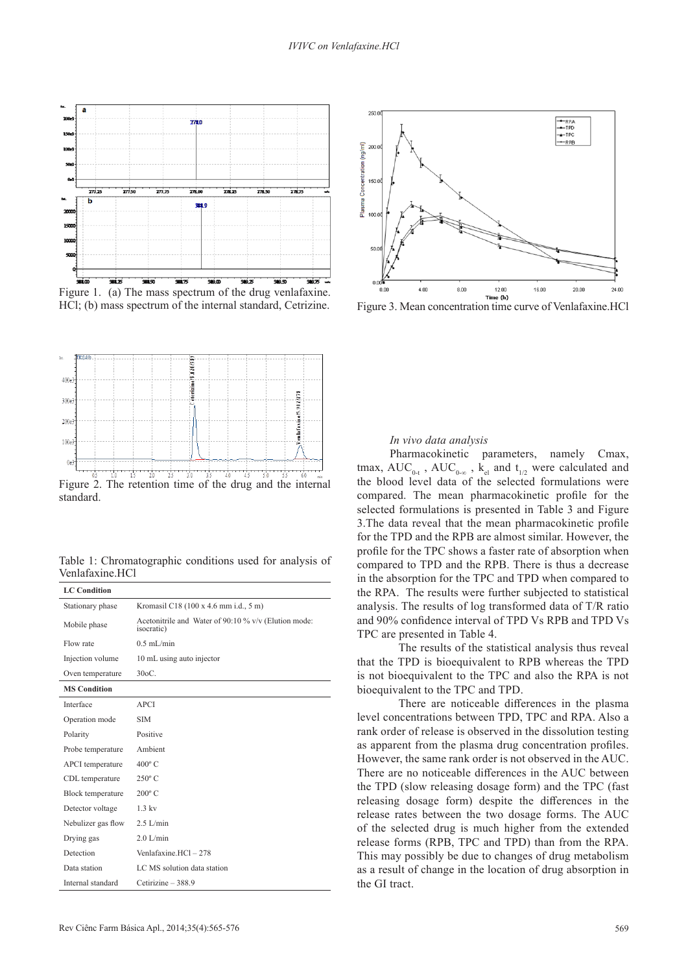

Figure 1. (a) The mass spectrum of the drug venlafaxine. HCl; (b) mass spectrum of the internal standard, Cetrizine.



Table 1: Chromatographic conditions used for analysis of Venlafaxine.HCl

| <b>LC</b> Condition |                                                                            |
|---------------------|----------------------------------------------------------------------------|
| Stationary phase    | Kromasil C18 (100 x 4.6 mm i.d., 5 m)                                      |
| Mobile phase        | Acetonitrile and Water of 90:10 % v/v (Elution mode:<br><i>isocratic</i> ) |
| Flow rate           | $0.5$ mL/min                                                               |
| Injection volume    | 10 mL using auto injector                                                  |
| Oven temperature    | $30oC$ .                                                                   |
| <b>MS</b> Condition |                                                                            |
| Interface           | <b>APCI</b>                                                                |
| Operation mode      | <b>SIM</b>                                                                 |
| Polarity            | Positive                                                                   |
| Probe temperature   | Ambient                                                                    |
| APCI temperature    | $400^{\circ}$ C                                                            |
| CDL temperature     | $250^{\circ}$ C                                                            |
| Block temperature   | $200^{\circ}$ C                                                            |
| Detector voltage    | $1.3$ kv                                                                   |
| Nebulizer gas flow  | $2.5$ L/min                                                                |
| Drying gas          | $2.0$ L/min                                                                |
| Detection           | Venlafaxine.HCl-278                                                        |
| Data station        | LC MS solution data station                                                |
| Internal standard   | Cetirizine - 388.9                                                         |



Figure 3. Mean concentration time curve of Venlafaxine.HCl

#### *In vivo data analysis*

Pharmacokinetic parameters, namely Cmax, tmax,  $\textrm{AUC}_{0-t}$ ,  $\textrm{AUC}_{0-\infty}$ ,  $\textrm{k}_{el}$  and  $t_{1/2}$  were calculated and the blood level data of the selected formulations were compared. The mean pharmacokinetic profile for the selected formulations is presented in Table 3 and Figure 3.The data reveal that the mean pharmacokinetic profile for the TPD and the RPB are almost similar. However, the profile for the TPC shows a faster rate of absorption when compared to TPD and the RPB. There is thus a decrease in the absorption for the TPC and TPD when compared to the RPA. The results were further subjected to statistical analysis. The results of log transformed data of T/R ratio and 90% confidence interval of TPD Vs RPB and TPD Vs TPC are presented in Table 4.

The results of the statistical analysis thus reveal that the TPD is bioequivalent to RPB whereas the TPD is not bioequivalent to the TPC and also the RPA is not bioequivalent to the TPC and TPD.

There are noticeable differences in the plasma level concentrations between TPD, TPC and RPA. Also a rank order of release is observed in the dissolution testing as apparent from the plasma drug concentration profiles. However, the same rank order is not observed in the AUC. There are no noticeable differences in the AUC between the TPD (slow releasing dosage form) and the TPC (fast releasing dosage form) despite the differences in the release rates between the two dosage forms. The AUC of the selected drug is much higher from the extended release forms (RPB, TPC and TPD) than from the RPA. This may possibly be due to changes of drug metabolism as a result of change in the location of drug absorption in the GI tract.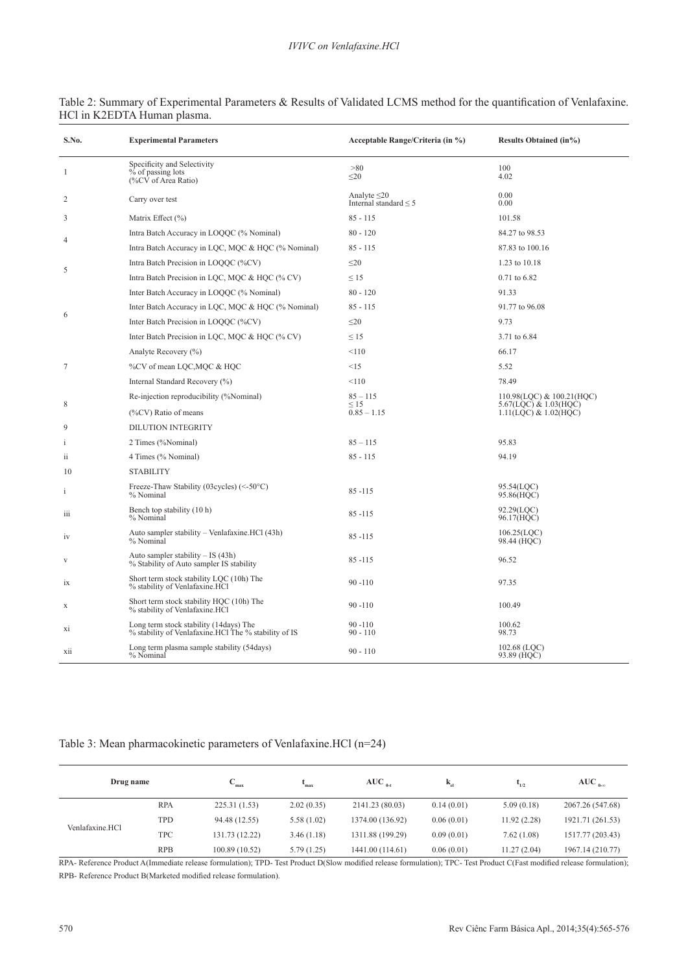| S.No.                   | <b>Experimental Parameters</b>                                                                 | Acceptable Range/Criteria (in %)                | <b>Results Obtained (in%)</b>                              |
|-------------------------|------------------------------------------------------------------------------------------------|-------------------------------------------------|------------------------------------------------------------|
| $\mathbf{1}$            | Specificity and Selectivity<br>% of passing lots<br>(%CV of Area Ratio)                        | >80<br>$\leq$ 20                                | 100<br>4.02                                                |
| 2                       | Carry over test                                                                                | Analyte $\leq$ 20<br>Internal standard $\leq$ 5 | 0.00<br>0.00                                               |
| 3                       | Matrix Effect (%)                                                                              | $85 - 115$                                      | 101.58                                                     |
|                         | Intra Batch Accuracy in LOQQC (% Nominal)                                                      | $80 - 120$                                      | 84.27 to 98.53                                             |
| $\overline{4}$          | Intra Batch Accuracy in LQC, MQC & HQC (% Nominal)                                             | $85 - 115$                                      | 87.83 to 100.16                                            |
|                         | Intra Batch Precision in LOQQC (%CV)                                                           | $\leq 20$                                       | 1.23 to 10.18                                              |
| 5                       | Intra Batch Precision in LQC, MQC & HQC (% CV)                                                 | $\leq$ 15                                       | 0.71 to 6.82                                               |
|                         | Inter Batch Accuracy in LOQQC (% Nominal)                                                      | $80 - 120$                                      | 91.33                                                      |
|                         | Inter Batch Accuracy in LQC, MQC & HQC (% Nominal)                                             | $85 - 115$                                      | 91.77 to 96.08                                             |
| 6                       | Inter Batch Precision in LOQQC (%CV)                                                           | $\leq$ 20                                       | 9.73                                                       |
|                         | Inter Batch Precision in LQC, MQC & HQC (% CV)                                                 | $\leq$ 15                                       | 3.71 to 6.84                                               |
|                         | Analyte Recovery (%)                                                                           | < 110                                           | 66.17                                                      |
| 7                       | %CV of mean LQC, MQC & HQC                                                                     | <15                                             | 5.52                                                       |
|                         | Internal Standard Recovery (%)                                                                 | < 110                                           | 78.49                                                      |
|                         | Re-injection reproducibility (%Nominal)                                                        | $85 - 115$                                      | 110.98(LQC) & 100.21(HQC)                                  |
| 8                       | (%CV) Ratio of means                                                                           | $\leq$ 15<br>$0.85 - 1.15$                      | 5.67(LQC) & 1.03(HQC)<br>$1.11($ LQC $)$ & $1.02$ (HQC $)$ |
| 9                       | <b>DILUTION INTEGRITY</b>                                                                      |                                                 |                                                            |
| i                       | 2 Times (%Nominal)                                                                             | $85 - 115$                                      | 95.83                                                      |
| $\overline{\mathbf{u}}$ | 4 Times (% Nominal)                                                                            | $85 - 115$                                      | 94.19                                                      |
| 10                      | <b>STABILITY</b>                                                                               |                                                 |                                                            |
| $\mathbf{i}$            | Freeze-Thaw Stability (03cycles) (<-50°C)<br>% Nominal                                         | $85 - 115$                                      | 95.54(LOC)<br>95.86(HQC)                                   |
| 111                     | Bench top stability (10 h)<br>% Nominal                                                        | $85 - 115$                                      | 92.29(LOC)<br>96.17(HQC)                                   |
| 1V                      | Auto sampler stability – Venlafaxine.HCl (43h)<br>% Nominal                                    | $85 - 115$                                      | 106.25(LOC)<br>98.44 (HQC)                                 |
| V                       | Auto sampler stability - IS (43h)<br>% Stability of Auto sampler IS stability                  | $85 - 115$                                      | 96.52                                                      |
| 1X                      | Short term stock stability LQC (10h) The<br>% stability of Venlafaxine.HCl                     | $90 - 110$                                      | 97.35                                                      |
| X                       | Short term stock stability HQC (10h) The<br>% stability of Venlafaxine.HCl                     | $90 - 110$                                      | 100.49                                                     |
| Xi                      | Long term stock stability (14days) The<br>% stability of Venlafaxine.HCl The % stability of IS | $90 - 110$<br>$90 - 110$                        | 100.62<br>98.73                                            |
| X11                     | Long term plasma sample stability (54days)<br>% Nominal                                        | $90 - 110$                                      | 102.68 $(LQC)$<br>93.89 (HQC)                              |

# Table 2: Summary of Experimental Parameters & Results of Validated LCMS method for the quantification of Venlafaxine. HCl in K2EDTA Human plasma.

# Table 3: Mean pharmacokinetic parameters of Venlafaxine.HCl (n=24)

| Drug name       |            | $\mathcal{L}_{\text{max}}$ | max        | $AUC_{0-t}$      | $\mathbf{k}_{\text{el}}$ | 1/2         | $AUC_{a}$        |
|-----------------|------------|----------------------------|------------|------------------|--------------------------|-------------|------------------|
| Venlafaxine.HCl | <b>RPA</b> | 225.31(1.53)               | 2.02(0.35) | 2141.23 (80.03)  | 0.14(0.01)               | 5.09(0.18)  | 2067.26 (547.68) |
|                 | TPD        | 94.48 (12.55)              | 5.58(1.02) | 1374.00 (136.92) | 0.06(0.01)               | 11.92(2.28) | 1921.71 (261.53) |
|                 | <b>TPC</b> | 131.73 (12.22)             | 3.46(1.18) | 1311.88 (199.29) | 0.09(0.01)               | 7.62(1.08)  | 1517.77 (203.43) |
|                 | <b>RPB</b> | 100.89 (10.52)             | 5.79(1.25) | 1441.00 (114.61) | 0.06(0.01)               | 11.27(2.04) | 1967.14 (210.77) |

RPA- Reference Product A(Immediate release formulation); TPD- Test Product D(Slow modified release formulation); TPC- Test Product C(Fast modified release formulation); RPB- Reference Product B(Marketed modified release formulation).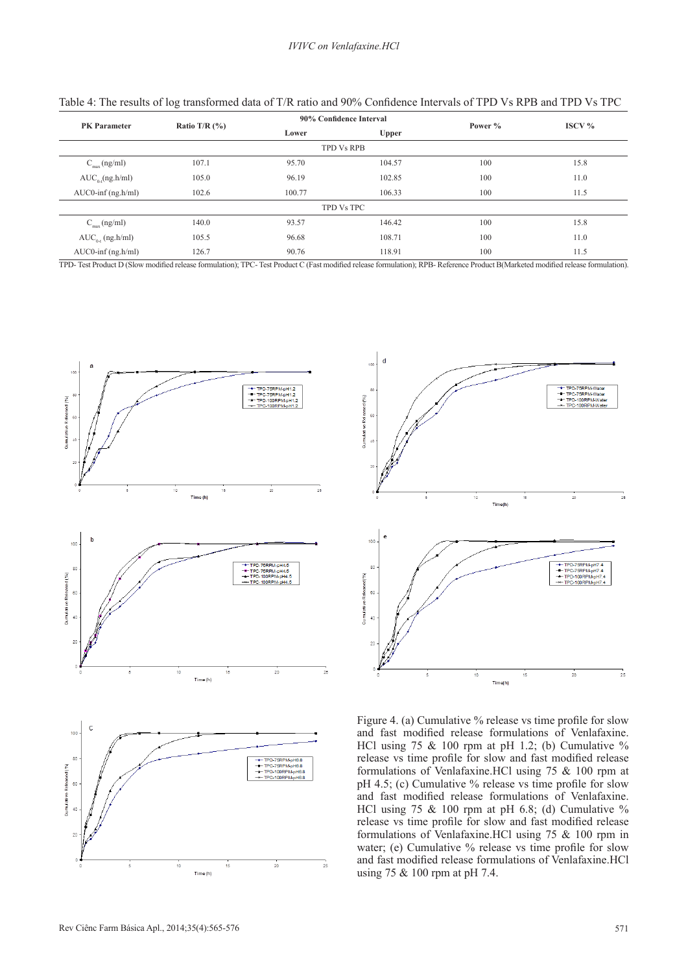| <b>PK</b> Parameter      | Ratio T/R $(\% )$ |        | 90% Confidence Interval |         | $\text{ISCV } \%$ |
|--------------------------|-------------------|--------|-------------------------|---------|-------------------|
|                          |                   | Lower  | Upper                   | Power % |                   |
|                          |                   |        | <b>TPD Vs RPB</b>       |         |                   |
| $C_{\text{max}}$ (ng/ml) | 107.1             | 95.70  | 104.57                  | 100     | 15.8              |
| $AUC_{o}$ (ng.h/ml)      | 105.0             | 96.19  | 102.85                  | 100     | 11.0              |
| $AUC0$ -inf $(ng.h/ml)$  | 102.6             | 100.77 | 106.33                  | 100     | 11.5              |
| TPD Vs TPC               |                   |        |                         |         |                   |
| $C_{\text{max}}$ (ng/ml) | 140.0             | 93.57  | 146.42                  | 100     | 15.8              |
| $AUC_{0,t}$ (ng.h/ml)    | 105.5             | 96.68  | 108.71                  | 100     | 11.0              |
| $AUC0$ -inf $(ng.h/ml)$  | 126.7             | 90.76  | 118.91                  | 100     | 11.5              |

| Table 4: The results of log transformed data of T/R ratio and 90% Confidence Intervals of TPD Vs RPB and TPD Vs TPC |  |  |  |
|---------------------------------------------------------------------------------------------------------------------|--|--|--|
|---------------------------------------------------------------------------------------------------------------------|--|--|--|

TPD- Test Product D (Slow modified release formulation); TPC- Test Product C (Fast modified release formulation); RPB- Reference Product B(Marketed modified release formulation).





Figure 4. (a) Cumulative % release vs time profile for slow and fast modified release formulations of Venlafaxine. HCl using  $75 \& 100$  rpm at pH 1.2; (b) Cumulative % release vs time profile for slow and fast modified release formulations of Venlafaxine.HCl using 75 & 100 rpm at pH 4.5; (c) Cumulative % release vs time profile for slow and fast modified release formulations of Venlafaxine. HCl using 75 & 100 rpm at pH 6.8; (d) Cumulative % release vs time profile for slow and fast modified release formulations of Venlafaxine.HCl using 75 & 100 rpm in water; (e) Cumulative % release vs time profile for slow and fast modified release formulations of Venlafaxine.HCl using 75 & 100 rpm at pH 7.4.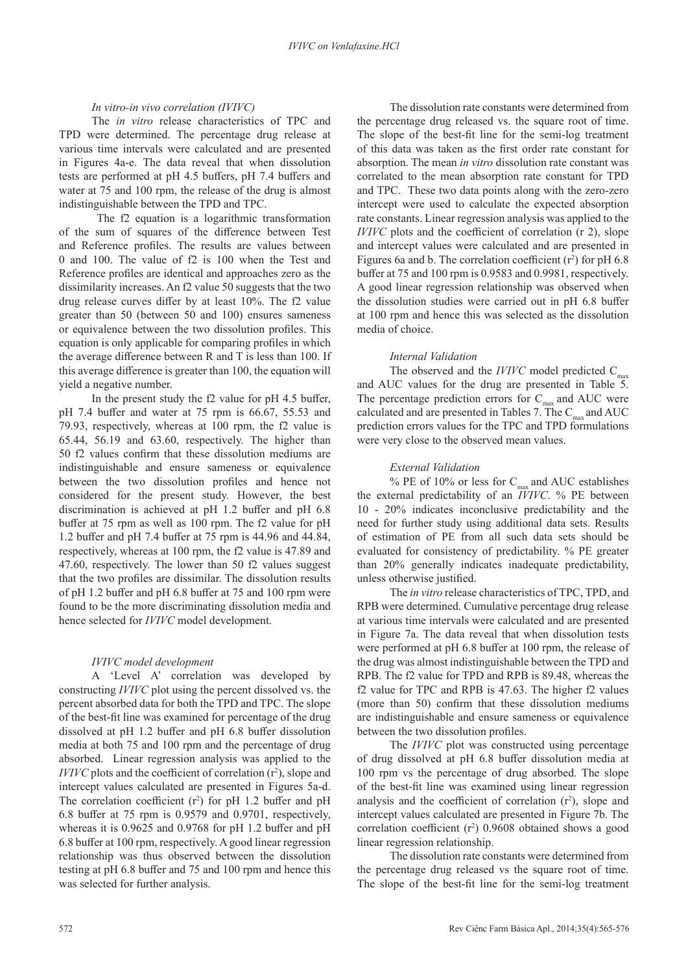# *In vitro-in vivo correlation (IVIVC)*

The *in vitro* release characteristics of TPC and TPD were determined. The percentage drug release at various time intervals were calculated and are presented in Figures 4a-e. The data reveal that when dissolution tests are performed at pH 4.5 buffers, pH 7.4 buffers and water at 75 and 100 rpm, the release of the drug is almost indistinguishable between the TPD and TPC.

 The f2 equation is a logarithmic transformation of the sum of squares of the difference between Test and Reference profiles. The results are values between 0 and 100. The value of f2 is 100 when the Test and Reference profiles are identical and approaches zero as the dissimilarity increases. An f2 value 50 suggests that the two drug release curves differ by at least 10%. The f2 value greater than 50 (between 50 and 100) ensures sameness or equivalence between the two dissolution profiles. This equation is only applicable for comparing profiles in which the average difference between R and T is less than 100. If this average difference is greater than 100, the equation will yield a negative number.

In the present study the f2 value for pH 4.5 buffer, pH 7.4 buffer and water at 75 rpm is 66.67, 55.53 and 79.93, respectively, whereas at 100 rpm, the f2 value is 65.44, 56.19 and 63.60, respectively. The higher than 50 f2 values confirm that these dissolution mediums are indistinguishable and ensure sameness or equivalence between the two dissolution profiles and hence not considered for the present study. However, the best discrimination is achieved at pH 1.2 buffer and pH 6.8 buffer at 75 rpm as well as 100 rpm. The f2 value for pH 1.2 buffer and pH 7.4 buffer at 75 rpm is 44.96 and 44.84, respectively, whereas at 100 rpm, the f2 value is 47.89 and 47.60, respectively. The lower than 50 f2 values suggest that the two profiles are dissimilar. The dissolution results of pH 1.2 buffer and pH 6.8 buffer at 75 and 100 rpm were found to be the more discriminating dissolution media and hence selected for *IVIVC* model development.

# *IVIVC model development*

A 'Level A' correlation was developed by constructing *IVIVC* plot using the percent dissolved vs. the percent absorbed data for both the TPD and TPC. The slope of the best-fit line was examined for percentage of the drug dissolved at pH 1.2 buffer and pH 6.8 buffer dissolution media at both 75 and 100 rpm and the percentage of drug absorbed. Linear regression analysis was applied to the *IVIVC* plots and the coefficient of correlation  $(r^2)$ , slope and intercept values calculated are presented in Figures 5a-d. The correlation coefficient  $(r^2)$  for pH 1.2 buffer and pH 6.8 buffer at 75 rpm is 0.9579 and 0.9701, respectively, whereas it is 0.9625 and 0.9768 for pH 1.2 buffer and pH 6.8 buffer at 100 rpm, respectively. A good linear regression relationship was thus observed between the dissolution testing at pH 6.8 buffer and 75 and 100 rpm and hence this was selected for further analysis.

The dissolution rate constants were determined from the percentage drug released vs. the square root of time. The slope of the best-fit line for the semi-log treatment of this data was taken as the first order rate constant for absorption. The mean *in vitro* dissolution rate constant was correlated to the mean absorption rate constant for TPD and TPC. These two data points along with the zero-zero intercept were used to calculate the expected absorption rate constants. Linear regression analysis was applied to the *IVIVC* plots and the coefficient of correlation (r 2), slope and intercept values were calculated and are presented in Figures 6a and b. The correlation coefficient  $(r^2)$  for pH 6.8 buffer at 75 and 100 rpm is 0.9583 and 0.9981, respectively. A good linear regression relationship was observed when the dissolution studies were carried out in pH 6.8 buffer at 100 rpm and hence this was selected as the dissolution media of choice.

# *Internal Validation*

The observed and the *IVIVC* model predicted C<sub>max</sub> and AUC values for the drug are presented in Table 5. The percentage prediction errors for  $C_{\text{max}}$  and AUC were calculated and are presented in Tables 7. The  $C_{\text{max}}$  and AUC prediction errors values for the TPC and TPD formulations were very close to the observed mean values.

# *External Validation*

% PE of 10% or less for  $C_{\text{max}}$  and AUC establishes the external predictability of an *IVIVC*. % PE between 10 - 20% indicates inconclusive predictability and the need for further study using additional data sets. Results of estimation of PE from all such data sets should be evaluated for consistency of predictability. % PE greater than 20% generally indicates inadequate predictability, unless otherwise justified.

The *in vitro* release characteristics of TPC, TPD, and RPB were determined. Cumulative percentage drug release at various time intervals were calculated and are presented in Figure 7a. The data reveal that when dissolution tests were performed at pH 6.8 buffer at 100 rpm, the release of the drug was almost indistinguishable between the TPD and RPB. The f2 value for TPD and RPB is 89.48, whereas the f2 value for TPC and RPB is 47.63. The higher f2 values (more than 50) confirm that these dissolution mediums are indistinguishable and ensure sameness or equivalence between the two dissolution profiles.

The *IVIVC* plot was constructed using percentage of drug dissolved at pH 6.8 buffer dissolution media at 100 rpm vs the percentage of drug absorbed. The slope of the best-fit line was examined using linear regression analysis and the coefficient of correlation  $(r^2)$ , slope and intercept values calculated are presented in Figure 7b. The correlation coefficient  $(r^2)$  0.9608 obtained shows a good linear regression relationship.

The dissolution rate constants were determined from the percentage drug released vs the square root of time. The slope of the best-fit line for the semi-log treatment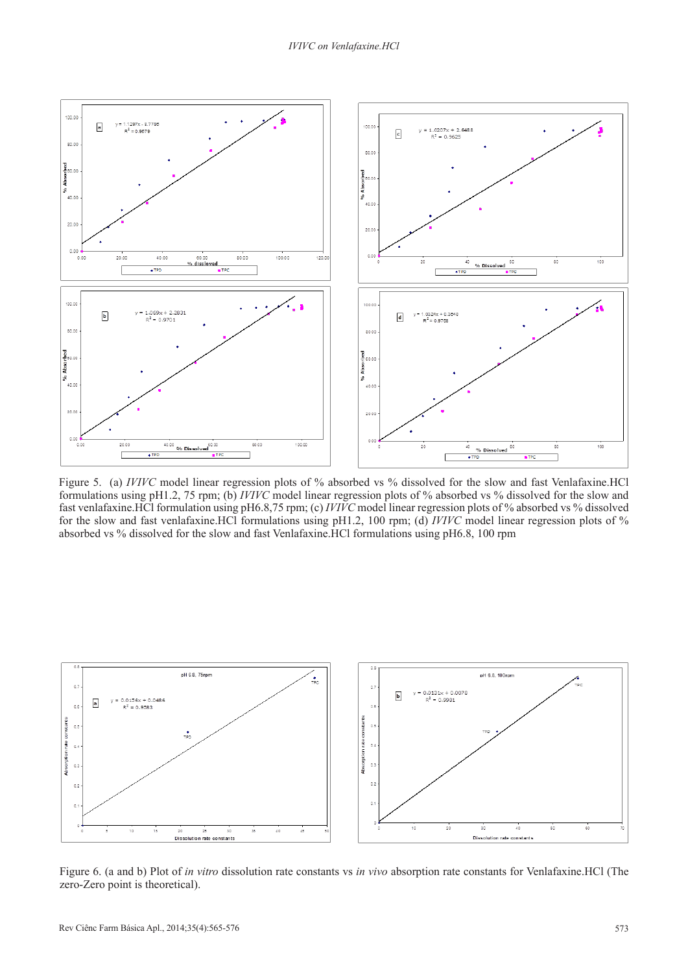

Figure 5. (a) *IVIVC* model linear regression plots of % absorbed vs % dissolved for the slow and fast Venlafaxine.HCl formulations using pH1.2, 75 rpm; (b) *IVIVC* model linear regression plots of % absorbed vs % dissolved for the slow and fast venlafaxine.HCl formulation using pH6.8,75 rpm; (c) *IVIVC* model linear regression plots of % absorbed vs % dissolved for the slow and fast venlafaxine.HCl formulations using pH1.2, 100 rpm; (d) *IVIVC* model linear regression plots of % absorbed vs % dissolved for the slow and fast Venlafaxine.HCl formulations using pH6.8, 100 rpm



Figure 6. (a and b) Plot of *in vitro* dissolution rate constants vs *in vivo* absorption rate constants for Venlafaxine.HCl (The zero-Zero point is theoretical).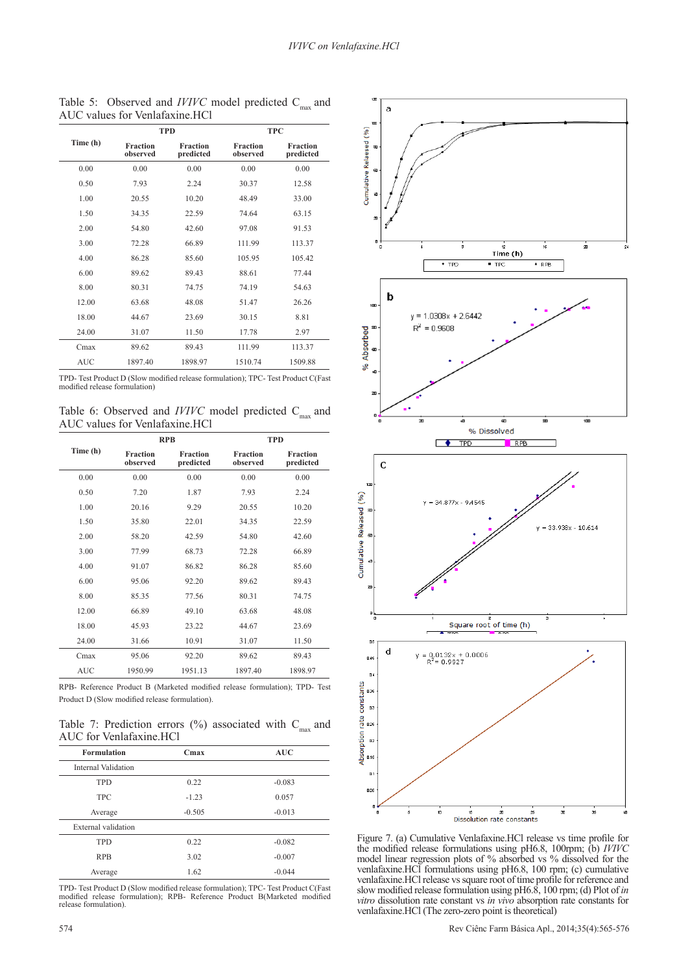a

|            |                             | <b>TPD</b>                   |                             | <b>TPC</b>                   |  |
|------------|-----------------------------|------------------------------|-----------------------------|------------------------------|--|
| Time (h)   | <b>Fraction</b><br>observed | <b>Fraction</b><br>predicted | <b>Fraction</b><br>observed | <b>Fraction</b><br>predicted |  |
| 0.00       | 0.00                        | 0.00                         | 0.00                        | 0.00                         |  |
| 0.50       | 7.93                        | 2.24                         | 30.37                       | 12.58                        |  |
| 1.00       | 20.55                       | 10.20                        | 48.49                       | 33.00                        |  |
| 1.50       | 34.35                       | 22.59                        | 74.64                       | 63.15                        |  |
| 2.00       | 54.80                       | 42.60                        | 97.08                       | 91.53                        |  |
| 3.00       | 72.28                       | 66.89                        | 111.99                      | 113.37                       |  |
| 4.00       | 86.28                       | 85.60                        | 105.95                      | 105.42                       |  |
| 6.00       | 89.62                       | 89.43                        | 88.61                       | 77.44                        |  |
| 8.00       | 80.31                       | 74.75                        | 74.19                       | 54.63                        |  |
| 12.00      | 63.68                       | 48.08                        | 51.47                       | 26.26                        |  |
| 18.00      | 44.67                       | 23.69                        | 30.15                       | 8.81                         |  |
| 24.00      | 31.07                       | 11.50                        | 17.78                       | 2.97                         |  |
| Cmax       | 89.62                       | 89.43                        | 111.99                      | 113.37                       |  |
| <b>AUC</b> | 1897.40                     | 1898.97                      | 1510.74                     | 1509.88                      |  |

Table 5: Observed and *IVIVC* model predicted C<sub>max</sub> and AUC values for Venlafaxine.HCl

TPD- Test Product D (Slow modified release formulation); TPC- Test Product C(Fast modified release formulation)

Table 6: Observed and *IVIVC* model predicted C<sub>max</sub> and AUC values for Venlafaxine.HCl

|            |                             | <b>RPB</b>                   | <b>TPD</b>                  |                              |
|------------|-----------------------------|------------------------------|-----------------------------|------------------------------|
| Time (h)   | <b>Fraction</b><br>observed | <b>Fraction</b><br>predicted | <b>Fraction</b><br>observed | <b>Fraction</b><br>predicted |
| 0.00       | 0.00                        | 0.00                         | 0.00                        | 0.00                         |
| 0.50       | 7.20                        | 1.87                         | 7.93                        | 2.24                         |
| 1.00       | 20.16                       | 9.29                         | 20.55                       | 10.20                        |
| 1.50       | 35.80                       | 22.01                        | 34.35                       | 22.59                        |
| 2.00       | 58.20                       | 42.59                        | 54.80                       | 42.60                        |
| 3.00       | 77.99                       | 68.73                        | 72.28                       | 66.89                        |
| 4.00       | 91.07                       | 86.82                        | 86.28                       | 85.60                        |
| 6.00       | 95.06                       | 92.20                        | 89.62                       | 89.43                        |
| 8.00       | 85.35                       | 77.56                        | 80.31                       | 74.75                        |
| 12.00      | 66.89                       | 49.10                        | 63.68                       | 48.08                        |
| 18.00      | 45.93                       | 23.22                        | 44.67                       | 23.69                        |
| 24.00      | 31.66                       | 10.91                        | 31.07                       | 11.50                        |
| Cmax       | 95.06                       | 92.20                        | 89.62                       | 89.43                        |
| <b>AUC</b> | 1950.99                     | 1951.13                      | 1897.40                     | 1898.97                      |

RPB- Reference Product B (Marketed modified release formulation); TPD- Test Product D (Slow modified release formulation).

Table 7: Prediction errors (%) associated with  $C_{max}$  and AUC for Venlafaxine.HCl

| <b>Formulation</b>  | Cmax     | <b>AUC</b> |
|---------------------|----------|------------|
| Internal Validation |          |            |
| <b>TPD</b>          | 0.22     | $-0.083$   |
| <b>TPC</b>          | $-1.23$  | 0.057      |
| Average             | $-0.505$ | $-0.013$   |
| External validation |          |            |
| <b>TPD</b>          | 0.22     | $-0.082$   |
| <b>RPB</b>          | 3.02     | $-0.007$   |
| Average             | 1.62     | $-0.044$   |

TPD- Test Product D (Slow modified release formulation); TPC- Test Product C(Fast modified release formulation); RPB- Reference Product B(Marketed modified release formulation).



Figure 7. (a) Cumulative Venlafaxine.HCl release vs time profile for the modified release formulations using pH6.8, 100rpm; (b) *IVIVC* model linear regression plots of % absorbed vs % dissolved for the venlafaxine.HCl formulations using pH6.8, 100 rpm; (c) cumulative venlafaxine.HCl release vs square root of time profile for reference and slow modified release formulation using pH6.8, 100 rpm; (d) Plot of *in vitro* dissolution rate constant vs *in vivo* absorption rate constants for venlafaxine.HCl (The zero-zero point is theoretical)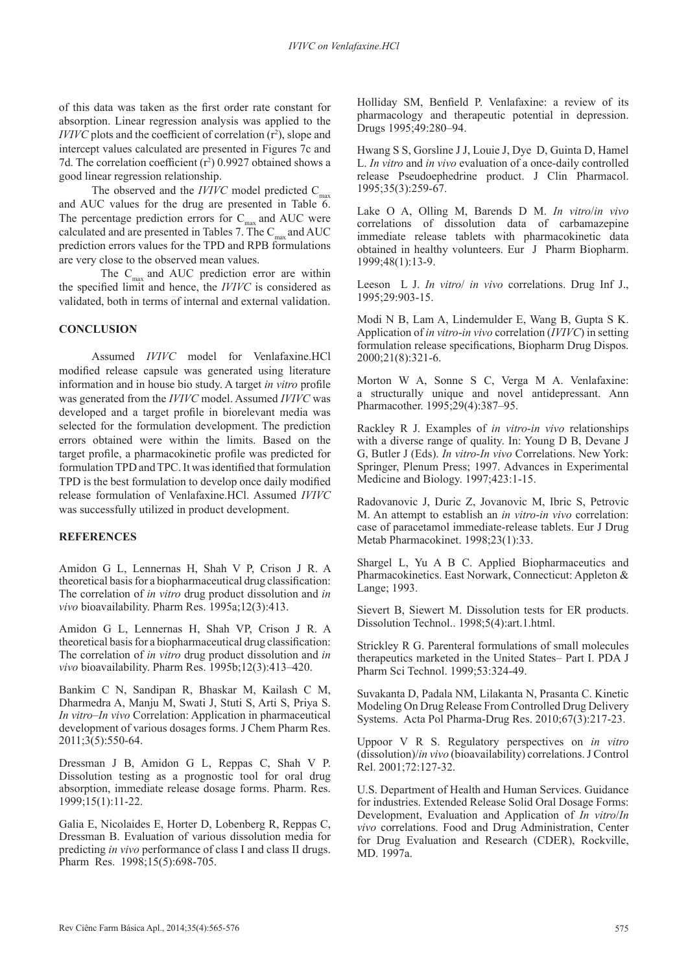of this data was taken as the first order rate constant for absorption. Linear regression analysis was applied to the  $IVIVC$  plots and the coefficient of correlation  $(r^2)$ , slope and intercept values calculated are presented in Figures 7c and 7d. The correlation coefficient  $(r^2)$  0.9927 obtained shows a good linear regression relationship.

The observed and the  $IVIVC$  model predicted  $C_{\text{max}}$ and AUC values for the drug are presented in Table 6. The percentage prediction errors for  $C_{\text{max}}$  and AUC were calculated and are presented in Tables 7. The  $\text{C}_{\text{max}}$  and AUC prediction errors values for the TPD and RPB formulations are very close to the observed mean values.

The  $C_{\text{max}}$  and AUC prediction error are within the specified limit and hence, the *IVIVC* is considered as validated, both in terms of internal and external validation.

# **CONCLUSION**

Assumed *IVIVC* model for Venlafaxine.HCl modified release capsule was generated using literature information and in house bio study. A target *in vitro* profile was generated from the *IVIVC* model. Assumed *IVIVC* was developed and a target profile in biorelevant media was selected for the formulation development. The prediction errors obtained were within the limits. Based on the target profile, a pharmacokinetic profile was predicted for formulation TPD and TPC. It was identified that formulation TPD is the best formulation to develop once daily modified release formulation of Venlafaxine.HCl. Assumed *IVIVC* was successfully utilized in product development.

# **REFERENCES**

Amidon G L, Lennernas H, Shah V P, Crison J R. A theoretical basis for a biopharmaceutical drug classification: The correlation of *in vitro* drug product dissolution and *in vivo* bioavailability. Pharm Res. 1995a;12(3):413.

Amidon G L, Lennernas H, Shah VP, Crison J R. A theoretical basis for a biopharmaceutical drug classification: The correlation of *in vitro* drug product dissolution and *in vivo* bioavailability. Pharm Res. 1995b;12(3):413–420.

Bankim C N, Sandipan R, Bhaskar M, Kailash C M, Dharmedra A, Manju M, Swati J, Stuti S, Arti S, Priya S. *In vitro*–*In vivo* Correlation: Application in pharmaceutical development of various dosages forms. J Chem Pharm Res. 2011;3(5):550-64.

Dressman J B, Amidon G L, Reppas C, Shah V P. Dissolution testing as a prognostic tool for oral drug absorption, immediate release dosage forms. Pharm. Res. 1999;15(1):11-22.

Galia E, Nicolaides E, Horter D, Lobenberg R, Reppas C, Dressman B. Evaluation of various dissolution media for predicting *in vivo* performance of class I and class II drugs. Pharm Res. 1998;15(5):698-705.

Holliday SM, Benfield P. Venlafaxine: a review of its pharmacology and therapeutic potential in depression. Drugs 1995;49:280–94.

Hwang S S, Gorsline J J, Louie J, Dye D, Guinta D, Hamel L. *In vitro* and *in vivo* evaluation of a once-daily controlled release Pseudoephedrine product. J Clin Pharmacol. 1995;35(3):259-67.

Lake O A, Olling M, Barends D M. *In vitro*/*in vivo* correlations of dissolution data of carbamazepine immediate release tablets with pharmacokinetic data obtained in healthy volunteers. Eur J Pharm Biopharm. 1999;48(1):13-9.

Leeson L J. *In vitro*/ *in vivo* correlations. Drug Inf J., 1995;29:903-15.

Modi N B, Lam A, Lindemulder E, Wang B, Gupta S K. Application of *in vitro*-*in vivo* correlation (*IVIVC*) in setting formulation release specifications, Biopharm Drug Dispos. 2000;21(8):321-6.

Morton W A, Sonne S C, Verga M A. Venlafaxine: a structurally unique and novel antidepressant. Ann Pharmacother. 1995;29(4):387–95.

Rackley R J. Examples of *in vitro*-*in vivo* relationships with a diverse range of quality. In: Young D B, Devane J G, Butler J (Eds). *In vitro*-*In vivo* Correlations. New York: Springer, Plenum Press; 1997. Advances in Experimental Medicine and Biology. 1997;423:1-15.

Radovanovic J, Duric Z, Jovanovic M, Ibric S, Petrovic M. An attempt to establish an *in vitro*-*in vivo* correlation: case of paracetamol immediate-release tablets. Eur J Drug Metab Pharmacokinet. 1998;23(1):33.

Shargel L, Yu A B C. Applied Biopharmaceutics and Pharmacokinetics. East Norwark, Connecticut: Appleton & Lange; 1993.

Sievert B, Siewert M. Dissolution tests for ER products. Dissolution Technol.. 1998;5(4):art.1.html.

Strickley R G. Parenteral formulations of small molecules therapeutics marketed in the United States– Part I. PDA J Pharm Sci Technol. 1999;53:324-49.

Suvakanta D, Padala NM, Lilakanta N, Prasanta C. Kinetic Modeling On Drug Release From Controlled Drug Delivery Systems. Acta Pol Pharma-Drug Res. 2010;67(3):217-23.

Uppoor V R S. Regulatory perspectives on *in vitro* (dissolution)/*in vivo* (bioavailability) correlations. J Control Rel. 2001;72:127-32.

U.S. Department of Health and Human Services. Guidance for industries. Extended Release Solid Oral Dosage Forms: Development, Evaluation and Application of *In vitro*/*In vivo* correlations. Food and Drug Administration, Center for Drug Evaluation and Research (CDER), Rockville, MD. 1997a.